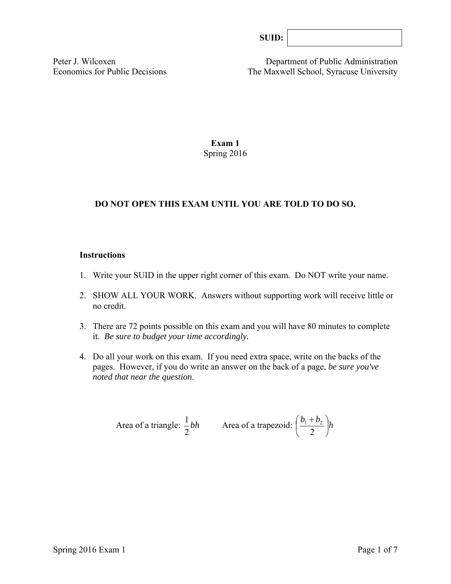| SUB: |  |
|------|--|
|------|--|

Peter J. Wilcoxen Department of Public Administration Economics for Public Decisions The Maxwell School, Syracuse University

## **Exam 1**  Spring 2016

# **DO NOT OPEN THIS EXAM UNTIL YOU ARE TOLD TO DO SO.**

#### **Instructions**

- 1. Write your SUID in the upper right corner of this exam. Do NOT write your name.
- 2. SHOW ALL YOUR WORK. Answers without supporting work will receive little or no credit.
- 3. There are 72 points possible on this exam and you will have 80 minutes to complete it. *Be sure to budget your time accordingly.*
- 4. Do all your work on this exam. If you need extra space, write on the backs of the pages. However, if you do write an answer on the back of a page, *be sure you've noted that near the question*.

Area of a triangle: 
$$
\frac{1}{2}bh
$$
 Area of a trapezoid:  $\left(\frac{b_1 + b_2}{2}\right)h$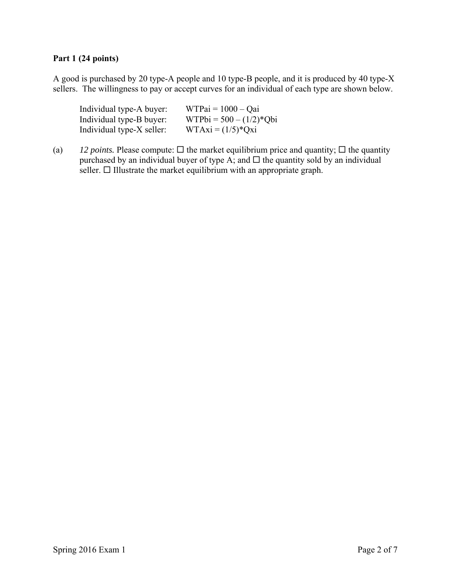# **Part 1 (24 points)**

A good is purchased by 20 type-A people and 10 type-B people, and it is produced by 40 type-X sellers. The willingness to pay or accept curves for an individual of each type are shown below.

| Individual type-A buyer:  | $WTPai = 1000 - Qai$      |
|---------------------------|---------------------------|
| Individual type-B buyer:  | $WTPbi = 500 - (1/2)*Qbi$ |
| Individual type-X seller: | $WTAxi = (1/5)*Qxi$       |

(a) *12 points.* Please compute:  $\Box$  the market equilibrium price and quantity;  $\Box$  the quantity purchased by an individual buyer of type A; and  $\Box$  the quantity sold by an individual seller.  $\Box$  Illustrate the market equilibrium with an appropriate graph.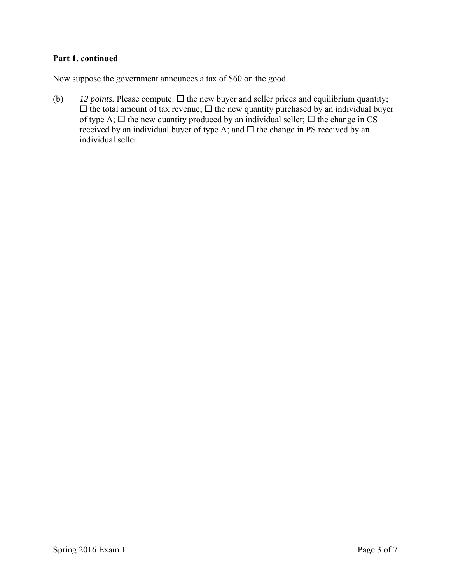# **Part 1, continued**

Now suppose the government announces a tax of \$60 on the good.

(b)  $12 \text{ points. Please compute: } \Box$  the new buyer and seller prices and equilibrium quantity;  $\Box$  the total amount of tax revenue;  $\Box$  the new quantity purchased by an individual buyer of type A;  $\Box$  the new quantity produced by an individual seller;  $\Box$  the change in CS received by an individual buyer of type A; and  $\Box$  the change in PS received by an individual seller.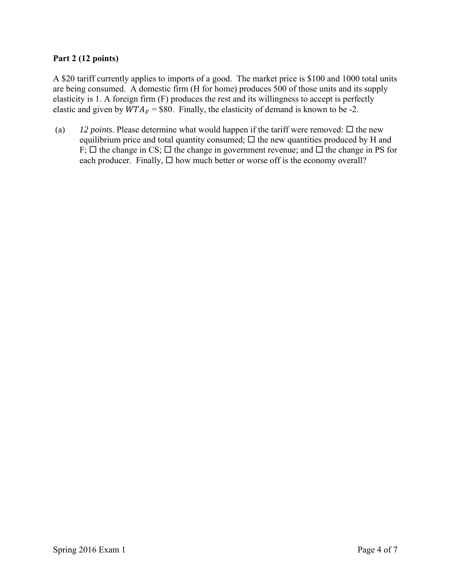## **Part 2 (12 points)**

A \$20 tariff currently applies to imports of a good. The market price is \$100 and 1000 total units are being consumed. A domestic firm (H for home) produces 500 of those units and its supply elasticity is 1. A foreign firm (F) produces the rest and its willingness to accept is perfectly elastic and given by  $WTA_F = $80$ . Finally, the elasticity of demand is known to be -2.

(a)  $12$  *points*. Please determine what would happen if the tariff were removed:  $\Box$  the new equilibrium price and total quantity consumed;  $\Box$  the new quantities produced by H and F;  $\Box$  the change in CS;  $\Box$  the change in government revenue; and  $\Box$  the change in PS for each producer. Finally,  $\Box$  how much better or worse off is the economy overall?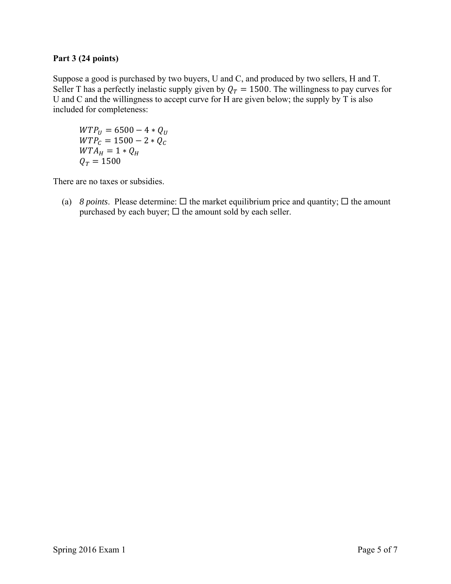#### **Part 3 (24 points)**

Suppose a good is purchased by two buyers, U and C, and produced by two sellers, H and T. Seller T has a perfectly inelastic supply given by  $Q_T = 1500$ . The willingness to pay curves for U and C and the willingness to accept curve for H are given below; the supply by T is also included for completeness:

 $WTP_U = 6500 - 4 * Q_U$  $WTP_C = 1500 - 2 * Q_C$  $WTA_H = 1 * Q_H$  $Q_T = 1500$ 

There are no taxes or subsidies.

(a) *8 points*. Please determine:  $\Box$  the market equilibrium price and quantity;  $\Box$  the amount purchased by each buyer;  $\Box$  the amount sold by each seller.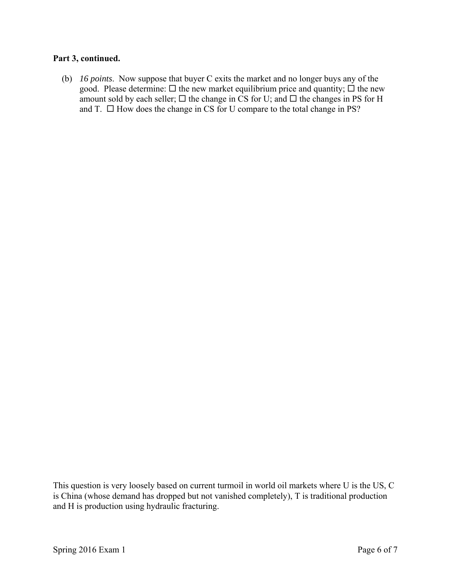#### **Part 3, continued.**

 (b) *16 points*. Now suppose that buyer C exits the market and no longer buys any of the good. Please determine:  $\Box$  the new market equilibrium price and quantity;  $\Box$  the new amount sold by each seller;  $\Box$  the change in CS for U; and  $\Box$  the changes in PS for H and T.  $\Box$  How does the change in CS for U compare to the total change in PS?

This question is very loosely based on current turmoil in world oil markets where U is the US, C is China (whose demand has dropped but not vanished completely), T is traditional production and H is production using hydraulic fracturing.